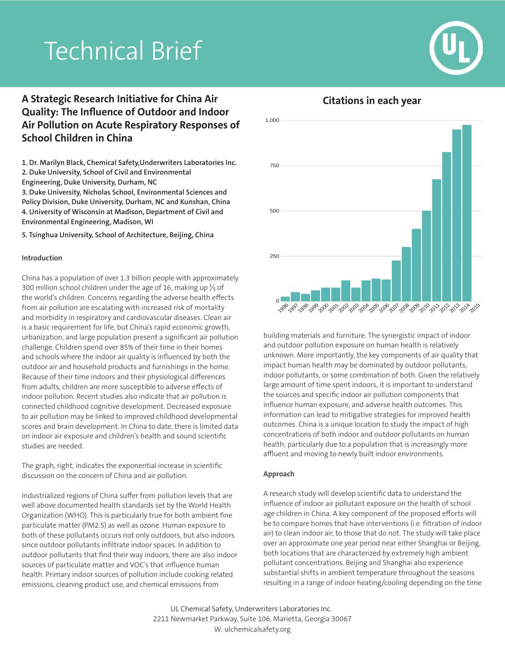# Technical Brief



## **A Strategic Research Initiative for China Air Quality: The Influence of Outdoor and Indoor Air Pollution on Acute Respiratory Responses of School Children in China**

**1. Dr. Marilyn Black, Chemical Safety,Underwriters Laboratories Inc. 2. Duke University, School of Civil and Environmental Engineering, Duke University, Durham, NC**

**3. Duke University, Nicholas School, Environmental Sciences and Policy Division, Duke University, Durham, NC and Kunshan, China 4. University of Wisconsin at Madison, Department of Civil and Environmental Engineering, Madison, WI**

**5. Tsinghua University, School of Architecture, Beijing, China**

#### **Introduction**

China has a population of over 1.3 billion people with approximately 300 million school children under the age of 16, making up  $\frac{1}{5}$  of the world's children. Concerns regarding the adverse health effects from air pollution are escalating with increased risk of mortality and morbidity in respiratory and cardiovascular diseases. Clean air is a basic requirement for life, but China's rapid economic growth, urbanization, and large population present a significant air pollution challenge. Children spend over 85% of their time in their homes and schools where the indoor air quality is influenced by both the outdoor air and household products and furnishings in the home. Because of their time indoors and their physiological differences from adults, children are more susceptible to adverse effects of indoor pollution. Recent studies also indicate that air pollution is connected childhood cognitive development. Decreased exposure to air pollution may be linked to improved childhood developmental scores and brain development. In China to date, there is limited data on indoor air exposure and children's health and sound scientific studies are needed.

The graph, right, indicates the exponential increase in scientific discussion on the concern of China and air pollution.

Industrialized regions of China suffer from pollution levels that are well above documented health standards set by the World Health Organization (WHO). This is particularly true for both ambient fine particulate matter (PM2.5) as well as ozone. Human exposure to both of these pollutants occurs not only outdoors, but also indoors since outdoor pollutants infiltrate indoor spaces. In addition to outdoor pollutants that find their way indoors, there are also indoor sources of particulate matter and VOC's that influence human health. Primary indoor sources of pollution include cooking related emissions, cleaning product use, and chemical emissions from



building materials and furniture. The synergistic impact of indoor and outdoor pollution exposure on human health is relatively unknown. More importantly, the key components of air quality that impact human health may be dominated by outdoor pollutants, indoor pollutants, or some combination of both. Given the relatively large amount of time spent indoors, it is important to understand the sources and specific indoor air pollution components that influence human exposure, and adverse health outcomes. This information can lead to mitigative strategies for improved health outcomes. China is a unique location to study the impact of high concentrations of both indoor and outdoor pollutants on human health; particularly due to a population that is increasingly more affluent and moving to newly built indoor environments.

#### **Approach**

A research study will develop scientific data to understand the influence of indoor air pollutant exposure on the health of school age children in China. A key component of the proposed efforts will be to compare homes that have interventions (i.e. filtration of indoor air) to clean indoor air, to those that do not. The study will take place over an approximate one year period near either Shanghai or Beijing, both locations that are characterized by extremely high ambient pollutant concentrations. Beijing and Shanghai also experience substantial shifts in ambient temperature throughout the seasons resulting in a range of indoor heating/cooling depending on the time

UL Chemical Safety, Underwriters Laboratories Inc. 2211 Newmarket Parkway, Suite 106, Marietta, Georgia 30067 W: ulchemicalsafety.org

### **Citations in each year**